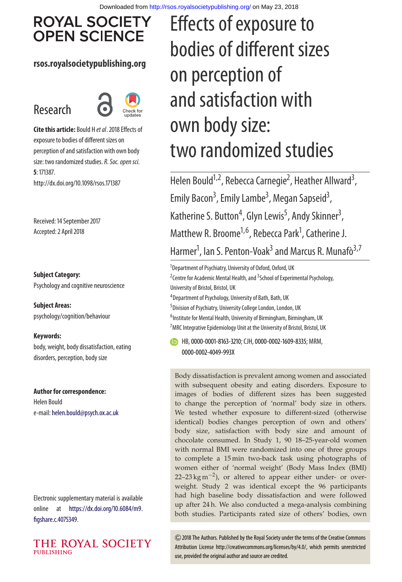# **ROYAL SOCIETY OPEN SCIENCE**

## **rsos.royalsocietypublishing.org**

# Research



**Cite this article:** Bould H et al. 2018 Effects of exposure to bodies of different sizes on perception of and satisfaction with own body size: two randomized studies. R. Soc. open sci. **5**: 171387. http://dx.doi.org/10.1098/rsos.171387

Received: 14 September 2017 Accepted: 2 April 2018

**Subject Category:**

Psychology and cognitive neuroscience

**Subject Areas:** psychology/cognition/behaviour

#### **Keywords:**

body, weight, body dissatisfaction, eating disorders, perception, body size

#### **Author for correspondence:**

Helen Bould e-mail: [helen.bould@psych.ox.ac.uk](mailto:helen.bould@psych.ox.ac.uk)

Electronic supplementary material is available online at [https://dx.doi.org/10.6084/m9.](https://dx.doi.org/10.6084/m9.figshare.c.4075349) [figshare.c.4075349.](https://dx.doi.org/10.6084/m9.figshare.c.4075349)



# Effects of exposure to bodies of different sizes on perception of and satisfaction with own body size: two randomized studies

Helen Bould<sup>1,2</sup>, Rebecca Carnegie<sup>2</sup>, Heather Allward<sup>3</sup> , Emily Bacon<sup>3</sup>, Emily Lambe<sup>3</sup>, Megan Sapseid<sup>3</sup> , Katherine S. Button<sup>4</sup>, Glyn Lewis<sup>5</sup>, Andy Skinner<sup>3</sup> , Matthew R. Broome<sup>1,6</sup>, Rebecca Park<sup>1</sup>, Catherine J. Harmer<sup>1</sup>, Ian S. Penton-Voak<sup>3</sup> and Marcus R. Munafò<sup>3,7</sup>

<sup>1</sup>Department of Psychiatry, University of Oxford, Oxford, UK <sup>2</sup> Centre for Academic Mental Health, and <sup>3</sup> School of Experimental Psychology, University of Bristol, Bristol, UK

4 Department of Psychology, University of Bath, Bath, UK

5 Division of Psychiatry, University College London, London, UK

<sup>6</sup> Institute for Mental Health, University of Birmingham, Birmingham, UK

<sup>7</sup> MRC Integrative Epidemiology Unit at the University of Bristol, Bristol, UK

HB,[0000-0001-8163-3210;](http://orcid.org/0000-0001-8163-3210) CJH,[0000-0002-1609-8335;](http://orcid.org/0000-0002-1609-8335) MRM, [0000-0002-4049-993X](http://orcid.org/0000-0002-4049-993X)

Body dissatisfaction is prevalent among women and associated with subsequent obesity and eating disorders. Exposure to images of bodies of different sizes has been suggested to change the perception of 'normal' body size in others. We tested whether exposure to different-sized (otherwise identical) bodies changes perception of own and others' body size, satisfaction with body size and amount of chocolate consumed. In Study 1, 90 18–25-year-old women with normal BMI were randomized into one of three groups to complete a 15 min two-back task using photographs of women either of 'normal weight' (Body Mass Index (BMI) 22–23 kg m<sup>-2</sup>), or altered to appear either under- or overweight. Study 2 was identical except the 96 participants had high baseline body dissatisfaction and were followed up after 24 h. We also conducted a mega-analysis combining both studies. Participants rated size of others' bodies, own

2018 The Authors. Published by the Royal Society under the terms of the Creative Commons Attribution License http://creativecommons.org/licenses/by/4.0/, which permits unrestricted use, provided the original author and source are credited.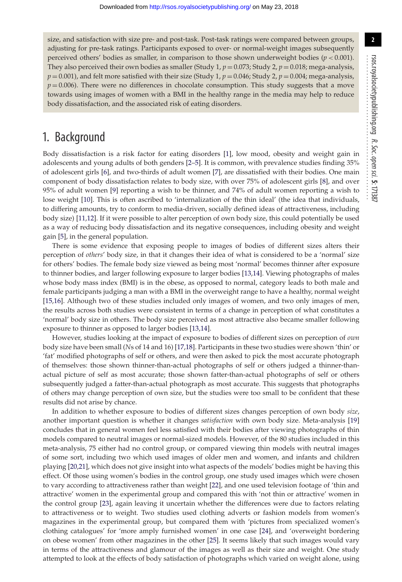size, and satisfaction with size pre- and post-task. Post-task ratings were compared between groups, adjusting for pre-task ratings. Participants exposed to over- or normal-weight images subsequently perceived others' bodies as smaller, in comparison to those shown underweight bodies ( $p < 0.001$ ). They also perceived their own bodies as smaller (Study 1,  $p = 0.073$ ; Study 2,  $p = 0.018$ ; mega-analysis,  $p = 0.001$ ), and felt more satisfied with their size (Study 1,  $p = 0.046$ ; Study 2,  $p = 0.004$ ; mega-analysis,  $p = 0.006$ ). There were no differences in chocolate consumption. This study suggests that a move towards using images of women with a BMI in the healthy range in the media may help to reduce body dissatisfaction, and the associated risk of eating disorders.

# 1. Background

Body dissatisfaction is a risk factor for eating disorders [\[1\]](#page-12-0), low mood, obesity and weight gain in adolescents and young adults of both genders [\[2](#page-12-1)[–5\]](#page-12-2). It is common, with prevalence studies finding 35% of adolescent girls [\[6\]](#page-12-3), and two-thirds of adult women [\[7\]](#page-13-0), are dissatisfied with their bodies. One main component of body dissatisfaction relates to body size, with over 75% of adolescent girls [\[8\]](#page-13-1), and over 95% of adult women [\[9\]](#page-13-2) reporting a wish to be thinner, and 74% of adult women reporting a wish to lose weight [\[10\]](#page-13-3). This is often ascribed to 'internalization of the thin ideal' (the idea that individuals, to differing amounts, try to conform to media-driven, socially defined ideas of attractiveness, including body size) [\[11,](#page-13-4)[12\]](#page-13-5). If it were possible to alter perception of own body size, this could potentially be used as a way of reducing body dissatisfaction and its negative consequences, including obesity and weight gain [\[5\]](#page-12-2), in the general population.

There is some evidence that exposing people to images of bodies of different sizes alters their perception of *others*' body size, in that it changes their idea of what is considered to be a 'normal' size for others' bodies. The female body size viewed as being most 'normal' becomes thinner after exposure to thinner bodies, and larger following exposure to larger bodies [\[13](#page-13-6)[,14\]](#page-13-7). Viewing photographs of males whose body mass index (BMI) is in the obese, as opposed to normal, category leads to both male and female participants judging a man with a BMI in the overweight range to have a healthy, normal weight [\[15,](#page-13-8)[16\]](#page-13-9). Although two of these studies included only images of women, and two only images of men, the results across both studies were consistent in terms of a change in perception of what constitutes a 'normal' body size in others. The body size perceived as most attractive also became smaller following exposure to thinner as opposed to larger bodies [\[13](#page-13-6)[,14\]](#page-13-7).

However, studies looking at the impact of exposure to bodies of different sizes on perception of *own* body size have been small (*N*s of 14 and 16) [\[17](#page-13-10)[,18\]](#page-13-11). Participants in these two studies were shown 'thin' or 'fat' modified photographs of self or others, and were then asked to pick the most accurate photograph of themselves: those shown thinner-than-actual photographs of self or others judged a thinner-thanactual picture of self as most accurate; those shown fatter-than-actual photographs of self or others subsequently judged a fatter-than-actual photograph as most accurate. This suggests that photographs of others may change perception of own size, but the studies were too small to be confident that these results did not arise by chance.

In addition to whether exposure to bodies of different sizes changes perception of own body *size*, another important question is whether it changes *satisfaction* with own body size. Meta-analysis [\[19\]](#page-13-12) concludes that in general women feel less satisfied with their bodies after viewing photographs of thin models compared to neutral images or normal-sized models. However, of the 80 studies included in this meta-analysis, 75 either had no control group, or compared viewing thin models with neutral images of some sort, including two which used images of older men and women, and infants and children playing [\[20](#page-13-13)[,21\]](#page-13-14), which does not give insight into what aspects of the models' bodies might be having this effect. Of those using women's bodies in the control group, one study used images which were chosen to vary according to attractiveness rather than weight [\[22\]](#page-13-15), and one used television footage of 'thin and attractive' women in the experimental group and compared this with 'not thin or attractive' women in the control group [\[23\]](#page-13-16), again leaving it uncertain whether the differences were due to factors relating to attractiveness or to weight. Two studies used clothing adverts or fashion models from women's magazines in the experimental group, but compared them with 'pictures from specialized women's clothing catalogues' for 'more amply furnished women' in one case [\[24\]](#page-13-17), and 'overweight bordering on obese women' from other magazines in the other [\[25\]](#page-13-18). It seems likely that such images would vary in terms of the attractiveness and glamour of the images as well as their size and weight. One study attempted to look at the effects of body satisfaction of photographs which varied on weight alone, using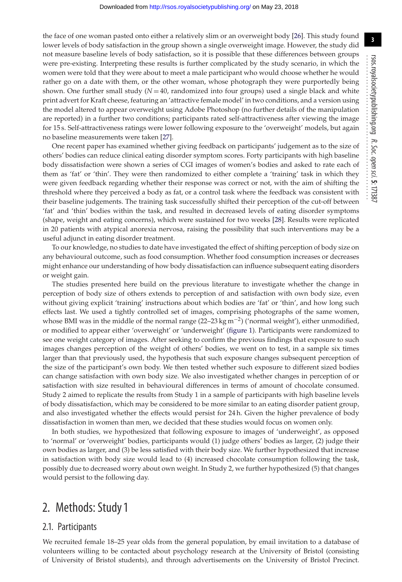the face of one woman pasted onto either a relatively slim or an overweight body [\[26\]](#page-13-19). This study found lower levels of body satisfaction in the group shown a single overweight image. However, the study did not measure baseline levels of body satisfaction, so it is possible that these differences between groups were pre-existing. Interpreting these results is further complicated by the study scenario, in which the women were told that they were about to meet a male participant who would choose whether he would rather go on a date with them, or the other woman, whose photograph they were purportedly being shown. One further small study  $(N = 40$ , randomized into four groups) used a single black and white print advert for Kraft cheese, featuring an 'attractive female model' in two conditions, and a version using the model altered to appear overweight using Adobe Photoshop (no further details of the manipulation are reported) in a further two conditions; participants rated self-attractiveness after viewing the image for 15 s. Self-attractiveness ratings were lower following exposure to the 'overweight' models, but again no baseline measurements were taken [\[27\]](#page-13-20).

One recent paper has examined whether giving feedback on participants' judgement as to the size of others' bodies can reduce clinical eating disorder symptom scores. Forty participants with high baseline body dissatisfaction were shown a series of CGI images of women's bodies and asked to rate each of them as 'fat' or 'thin'. They were then randomized to either complete a 'training' task in which they were given feedback regarding whether their response was correct or not, with the aim of shifting the threshold where they perceived a body as fat, or a control task where the feedback was consistent with their baseline judgements. The training task successfully shifted their perception of the cut-off between 'fat' and 'thin' bodies within the task, and resulted in decreased levels of eating disorder symptoms (shape, weight and eating concerns), which were sustained for two weeks [\[28\]](#page-13-21). Results were replicated in 20 patients with atypical anorexia nervosa, raising the possibility that such interventions may be a useful adjunct in eating disorder treatment.

To our knowledge, no studies to date have investigated the effect of shifting perception of body size on any behavioural outcome, such as food consumption. Whether food consumption increases or decreases might enhance our understanding of how body dissatisfaction can influence subsequent eating disorders or weight gain.

The studies presented here build on the previous literature to investigate whether the change in perception of body size of others extends to perception of and satisfaction with own body size, even without giving explicit 'training' instructions about which bodies are 'fat' or 'thin', and how long such effects last. We used a tightly controlled set of images, comprising photographs of the same women, whose BMI was in the middle of the normal range (22–23 kg m<sup>-2</sup>) ('normal weight'), either unmodified, or modified to appear either 'overweight' or 'underweight' [\(figure 1\)](#page-3-0). Participants were randomized to see one weight category of images. After seeking to confirm the previous findings that exposure to such images changes perception of the weight of others' bodies, we went on to test, in a sample six times larger than that previously used, the hypothesis that such exposure changes subsequent perception of the size of the participant's own body. We then tested whether such exposure to different sized bodies can change satisfaction with own body size. We also investigated whether changes in perception of or satisfaction with size resulted in behavioural differences in terms of amount of chocolate consumed. Study 2 aimed to replicate the results from Study 1 in a sample of participants with high baseline levels of body dissatisfaction, which may be considered to be more similar to an eating disorder patient group, and also investigated whether the effects would persist for 24 h. Given the higher prevalence of body dissatisfaction in women than men, we decided that these studies would focus on women only.

In both studies, we hypothesized that following exposure to images of 'underweight', as opposed to 'normal' or 'overweight' bodies, participants would (1) judge others' bodies as larger, (2) judge their own bodies as larger, and (3) be less satisfied with their body size. We further hypothesized that increase in satisfaction with body size would lead to (4) increased chocolate consumption following the task, possibly due to decreased worry about own weight. In Study 2, we further hypothesized (5) that changes would persist to the following day.

# 2. Methods: Study 1

#### 2.1. Participants

We recruited female 18–25 year olds from the general population, by email invitation to a database of volunteers willing to be contacted about psychology research at the University of Bristol (consisting of University of Bristol students), and through advertisements on the University of Bristol Precinct.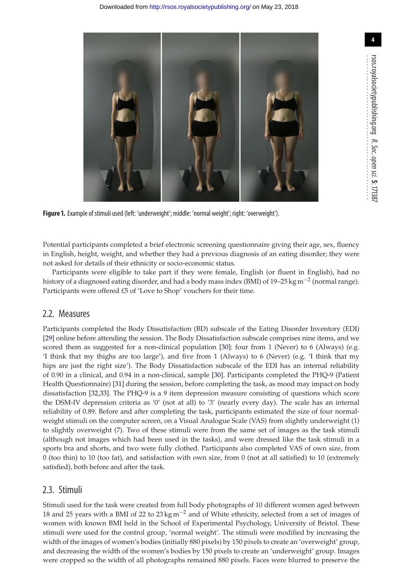<span id="page-3-0"></span>

Figure 1. Example of stimuli used (left: 'underweight'; middle: 'normal weight'; right: 'overweight').

Potential participants completed a brief electronic screening questionnaire giving their age, sex, fluency in English, height, weight, and whether they had a previous diagnosis of an eating disorder; they were not asked for details of their ethnicity or socio-economic status.

Participants were eligible to take part if they were female, English (or fluent in English), had no history of a diagnosed eating disorder, and had a body mass index (BMI) of 19–25 kg m<sup>-2</sup> (normal range). Participants were offered £5 of 'Love to Shop' vouchers for their time.

#### 2.2. Measures

Participants completed the Body Dissatisfaction (BD) subscale of the Eating Disorder Inventory (EDI) [\[29\]](#page-13-22) online before attending the session. The Body Dissatisfaction subscale comprises nine items, and we scored them as suggested for a non-clinical population [\[30\]](#page-13-23): four from 1 (Never) to 6 (Always) (e.g. 'I think that my thighs are too large'), and five from 1 (Always) to 6 (Never) (e.g. 'I think that my hips are just the right size'). The Body Dissatisfaction subscale of the EDI has an internal reliability of 0.90 in a clinical, and 0.94 in a non-clinical, sample [\[30\]](#page-13-23). Participants completed the PHQ-9 (Patient Health Questionnaire) [\[31\]](#page-13-24) during the session, before completing the task, as mood may impact on body dissatisfaction [\[32](#page-13-25)[,33\]](#page-13-26). The PHQ-9 is a 9 item depression measure consisting of questions which score the DSM-IV depression criteria as '0' (not at all) to '3' (nearly every day). The scale has an internal reliability of 0.89. Before and after completing the task, participants estimated the size of four normalweight stimuli on the computer screen, on a Visual Analogue Scale (VAS) from slightly underweight (1) to slightly overweight (7). Two of these stimuli were from the same set of images as the task stimuli (although not images which had been used in the tasks), and were dressed like the task stimuli in a sports bra and shorts, and two were fully clothed. Participants also completed VAS of own size, from 0 (too thin) to 10 (too fat), and satisfaction with own size, from 0 (not at all satisfied) to 10 (extremely satisfied), both before and after the task.

# 2.3. Stimuli

Stimuli used for the task were created from full body photographs of 10 different women aged between 18 and 25 years with a BMI of 22 to 23 kg m−<sup>2</sup> and of White ethnicity, selected from a set of images of women with known BMI held in the School of Experimental Psychology, University of Bristol. These stimuli were used for the control group, 'normal weight'. The stimuli were modified by increasing the width of the images of women's bodies (initially 880 pixels) by 150 pixels to create an 'overweight' group, and decreasing the width of the women's bodies by 150 pixels to create an 'underweight' group. Images were cropped so the width of all photographs remained 880 pixels. Faces were blurred to preserve the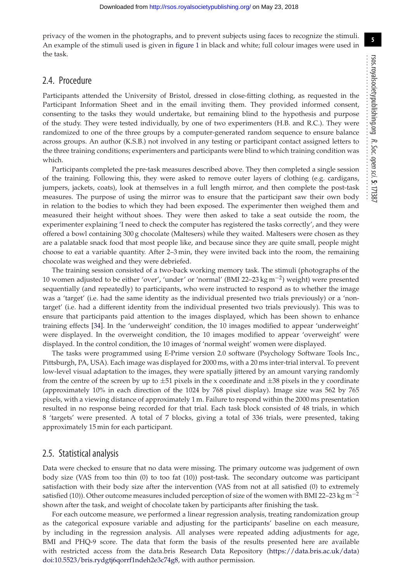**5**

privacy of the women in the photographs, and to prevent subjects using faces to recognize the stimuli. An example of the stimuli used is given in [figure 1](#page-3-0) in black and white; full colour images were used in the task.

#### 2.4. Procedure

Participants attended the University of Bristol, dressed in close-fitting clothing, as requested in the Participant Information Sheet and in the email inviting them. They provided informed consent, consenting to the tasks they would undertake, but remaining blind to the hypothesis and purpose of the study. They were tested individually, by one of two experimenters (H.B. and R.C.). They were randomized to one of the three groups by a computer-generated random sequence to ensure balance across groups. An author (K.S.B.) not involved in any testing or participant contact assigned letters to the three training conditions; experimenters and participants were blind to which training condition was which.

Participants completed the pre-task measures described above. They then completed a single session of the training. Following this, they were asked to remove outer layers of clothing (e.g. cardigans, jumpers, jackets, coats), look at themselves in a full length mirror, and then complete the post-task measures. The purpose of using the mirror was to ensure that the participant saw their own body in relation to the bodies to which they had been exposed. The experimenter then weighed them and measured their height without shoes. They were then asked to take a seat outside the room, the experimenter explaining 'I need to check the computer has registered the tasks correctly', and they were offered a bowl containing 300 g chocolate (Maltesers) while they waited. Maltesers were chosen as they are a palatable snack food that most people like, and because since they are quite small, people might choose to eat a variable quantity. After 2–3 min, they were invited back into the room, the remaining chocolate was weighed and they were debriefed.

The training session consisted of a two-back working memory task. The stimuli (photographs of the 10 women adjusted to be either 'over', 'under' or 'normal' (BMI 22–23 kg m<sup>-2</sup>) weight) were presented sequentially (and repeatedly) to participants, who were instructed to respond as to whether the image was a 'target' (i.e. had the same identity as the individual presented two trials previously) or a 'nontarget' (i.e. had a different identity from the individual presented two trials previously). This was to ensure that participants paid attention to the images displayed, which has been shown to enhance training effects [\[34\]](#page-13-27). In the 'underweight' condition, the 10 images modified to appear 'underweight' were displayed. In the overweight condition, the 10 images modified to appear 'overweight' were displayed. In the control condition, the 10 images of 'normal weight' women were displayed.

The tasks were programmed using E-Prime version 2.0 software (Psychology Software Tools Inc., Pittsburgh, PA, USA). Each image was displayed for 2000 ms, with a 20 ms inter-trial interval. To prevent low-level visual adaptation to the images, they were spatially jittered by an amount varying randomly from the centre of the screen by up to  $\pm 51$  pixels in the x coordinate and  $\pm 38$  pixels in the y coordinate (approximately 10% in each direction of the 1024 by 768 pixel display). Image size was 562 by 765 pixels, with a viewing distance of approximately 1 m. Failure to respond within the 2000 ms presentation resulted in no response being recorded for that trial. Each task block consisted of 48 trials, in which 8 'targets' were presented. A total of 7 blocks, giving a total of 336 trials, were presented, taking approximately 15 min for each participant.

#### 2.5. Statistical analysis

Data were checked to ensure that no data were missing. The primary outcome was judgement of own body size (VAS from too thin (0) to too fat (10)) post-task. The secondary outcome was participant satisfaction with their body size after the intervention (VAS from not at all satisfied (0) to extremely satisfied (10)). Other outcome measures included perception of size of the women with BMI 22–23 kg m<sup>-2</sup> shown after the task, and weight of chocolate taken by participants after finishing the task.

For each outcome measure, we performed a linear regression analysis, treating randomization group as the categorical exposure variable and adjusting for the participants' baseline on each measure, by including in the regression analysis. All analyses were repeated adding adjustments for age, BMI and PHQ-9 score. The data that form the basis of the results presented here are available with restricted access from the data.bris Research Data Repository [\(https://data.bris.ac.uk/data\)](https://data.bris.ac.uk/data) [doi:10.5523/bris.rydgtj6qorrf1ndeh2e3c74g8,](http://dx.doi.org/doi:10.5523/bris.rydgtj6qorrf1ndeh2e3c74g8) with author permission.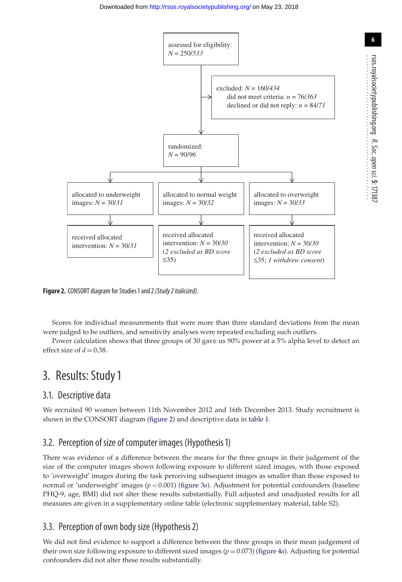<span id="page-5-0"></span>

**Figure 2.** CONSORT diagram for Studies 1 and 2(Study 2 italicized).

Scores for individual measurements that were more than three standard deviations from the mean were judged to be outliers, and sensitivity analyses were repeated excluding such outliers.

Power calculation shows that three groups of 30 gave us 90% power at a 5% alpha level to detect an effect size of  $d = 0.38$ .

# 3. Results: Study 1

#### 3.1. Descriptive data

We recruited 90 women between 11th November 2012 and 16th December 2013. Study recruitment is shown in the CONSORT diagram [\(figure 2\)](#page-5-0) and descriptive data in [table 1.](#page-6-0)

### 3.2. Perception of size of computer images (Hypothesis 1)

There was evidence of a difference between the means for the three groups in their judgement of the size of the computer images shown following exposure to different sized images, with those exposed to 'overweight' images during the task perceiving subsequent images as smaller than those exposed to normal or 'underweight' images (*p <* 0.001) [\(figure 3](#page-7-0)*a*). Adjustment for potential confounders (baseline PHQ-9, age, BMI) did not alter these results substantially. Full adjusted and unadjusted results for all measures are given in a supplementary online table (electronic supplementary material, table S2).

### 3.3. Perception of own body size (Hypothesis 2)

We did not find evidence to support a difference between the three groups in their mean judgement of their own size following exposure to different sized images (*p* = 0.073) [\(figure 4](#page-7-1)*a*). Adjusting for potential confounders did not alter these results substantially.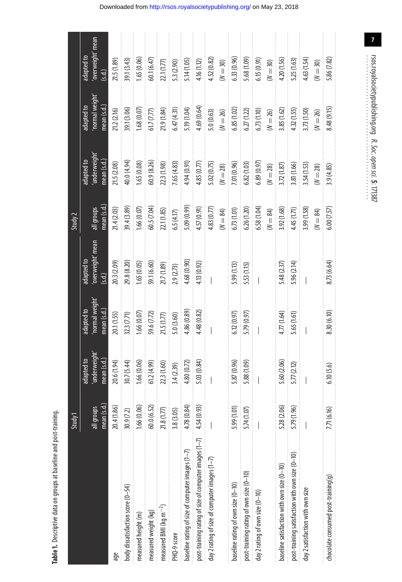<span id="page-6-0"></span>

|                                                       | Study <sub>1</sub> |                            |                             |                                | Study 2     |                           |                              |                              |
|-------------------------------------------------------|--------------------|----------------------------|-----------------------------|--------------------------------|-------------|---------------------------|------------------------------|------------------------------|
|                                                       | all groups         | 'underweight<br>adapted to | normal weight<br>adapted to | overweight' mean<br>adapted to | all groups  | underweight<br>adapted to | 'normal weight<br>adapted to | overweight' me<br>adapted to |
|                                                       | mean(s.d.)         | mean (s.d.)                | mean (s.d.)                 | (s.d.)                         | mean(s.d.)  | mean (s.d.)               | mean (s.d.)                  | (s.d.)                       |
|                                                       | 20.4 (1.86)        | 20.6 (1.94)                | 20.1 (1.55)                 | 20.3 (2.09)                    | 21.4 (2.03) | 21.5 (2.08)               | 21.2 (2.16)                  | 21.5 (1.89)                  |
| body dissatisfaction score (0-54)                     | 30.9 (7.2)         | 30.7 (5.44)                | 32.3 (7.71)                 | 29.8 (8.20)                    | 39.4 (3.89) | 40.0 (4.94)               | 39.1 (3.06)                  | 39.1 (3.43)                  |
| measured height (m)                                   | 1.66(0.06)         | 1.66(0.06)                 | 1.66(0.07)                  | 1.65(0.05)                     | 1.66(0.07)  | 1.65(0.08)                | 1.68(0.07)                   | 1.65(0.06)                   |
| measured weight (kg)                                  | 60.0(6.52)         | 61.2(4.99)                 | 59.6 (7.72)                 | 59.1 (6.60)                    | 60.5 (7.04) | 60.9 (8.26)               | 61.7 (7.77)                  | 60.1(6.47)                   |
| measured BMI ( $kg$ m <sup>-2</sup> )                 | 21.8 (1.77)        | 22.3 (1.60)                | 21.5 (1.77)                 | 21.7 (1.89)                    | 22.1 (1.85) | 22.3 (1.98)               | 21.9 (1.84)                  | 22.1 (1.77)                  |
| PHQ-9 score                                           | 3.8 (3.05)         | 3.4(2.39)                  | 5.0 (3.60)                  | 2.9(2.73)                      | 6.5(4.17)   | 7.65 (4.83)               | 6.47(4.31)                   | 5.3 (2.90)                   |
| baseline rating of size of computer images (1-7)      | 4.78 (0.84)        | 4.80 (0.72)                | 4.86 (0.89)                 | 4.68 (0.90)                    | 5.09 (0.99) | 4.94 (0.91)               | 5.19 (1.04)                  | 5.14 (1.05)                  |
| post-training rating of size of computer images (1-7) | 4.54 (0.93)        | 5.03 (0.84)                | 4.48 (0.82)                 | 4.13 (0.92)                    | 4.57 (0.91) | 4.85(0.77)                | 4.69 (0.64)                  | 4.16 (1.12)                  |
| day 2 rating of size of computer images (1-7)         |                    |                            |                             |                                | 4.83 (0.77) | 5.02 (0.75)               | 5.0(0.63)                    | 4.52 (0.82)                  |
|                                                       |                    |                            |                             |                                | $(N = 84)$  | $(N = 28)$                | $(N = 26)$                   | $(N = 30)$                   |
| baseline rating of own size (0-10)                    | 5.99 (1.01)        | 5.87 (0.96)                | 6.12(0.97)                  | 5.99 (1.13)                    | 6.73(1.01)  | 7.01 (0.96)               | 6.85(1.02)                   | 6.33(0.96)                   |
| post-training rating of own size (0-10)               | 5.74 (1.07)        | 5.88 (1.09)                | 5.79 (0.97)                 | 5.53 (1.15)                    | 6.26 (1.20) | 5.82(1.03)                | 6.27(1.22)                   | 5.68 (1.09)                  |
| day 2 rating of own size (0-10)                       |                    |                            |                             |                                | 6.58 (1.04) | (16.0, 89.6, 6.5)         | 6.73(1.10)                   | 6.15(0.91)                   |
|                                                       |                    |                            |                             |                                | $(N = 84)$  | $(N = 28)$                | $(N = 26)$                   | $(N = 30)$                   |
| baseline satisfaction with own size (0-10)            | 5.28 (2.06)        | 5.60 (2.06)                | 4.77 (1.64)                 | 5.48 (2.37)                    | 3.92 (1.68) | 3.72 (1.87)               | 3.85(1.62)                   | 4.20 (1.56)                  |
| post-training satisfaction with own size (0-10)       | 5.79 (1.96)        | 5.77 (2.12)                | 5.65 (1.61)                 | 5.96 (2.14)                    | 4.45 (1.71) | 3.81 (1.66)               | 4.32 (1.55)                  | 5.25 (1.63)                  |
| day 2 satisfaction with own size                      |                    |                            |                             |                                | 3.99 (1.58) | 3.54 (1.53)               | 3.73 (1.50)                  | 4.63 (1.54)                  |
|                                                       |                    |                            |                             |                                | $(M = 84)$  | $(N = 28)$                | $(N = 26)$                   | $(N = 30)$                   |
| chocolate consumed post-training(q)                   | 7.71 (6.16)        | 6.10(5.6)                  | 8.30 (6.10)                 | 8.73 (6.64)                    | 6.00(7.57)  | 3.9 (4.85)                | 8.48 (9.15)                  | 5.86 (7.82)                  |

Table 1. Descriptive data on groups at baseline and post-training.

 $\begin{array}{ccc} \bullet & \bullet & \bullet & \bullet & \bullet \\ \bullet & \bullet & \bullet & \bullet & \bullet & \bullet \end{array}$ 

Î

 $\frac{1}{2}$ 

 $\equiv$ 

 $\begin{array}{c} \vdots \\ \vdots \\ \vdots \end{array}$ 

 $\frac{1}{2}$ 

 $\begin{array}{c} \vdots \\ \vdots \\ \vdots \end{array}$ 

ł

 $\frac{1}{2}$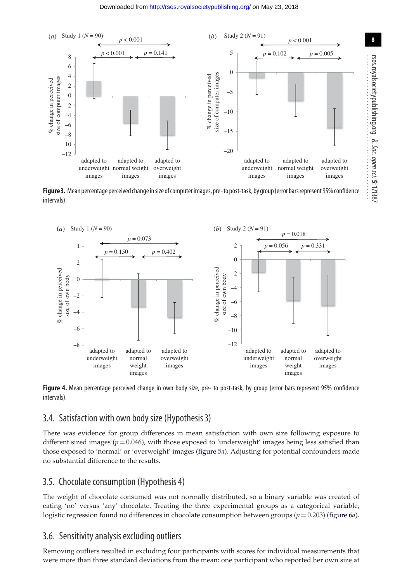<span id="page-7-0"></span>

Figure 3. Mean percentage perceived change in size of computer images, pre-to post-task, by group (error bars represent 95% confidence intervals).

<span id="page-7-1"></span>

Figure 4. Mean percentage perceived change in own body size, pre- to post-task, by group (error bars represent 95% confidence intervals).

# 3.4. Satisfaction with own body size (Hypothesis 3)

There was evidence for group differences in mean satisfaction with own size following exposure to different sized images ( $p = 0.046$ ), with those exposed to 'underweight' images being less satisfied than those exposed to 'normal' or 'overweight' images [\(figure 5](#page-8-0)*a*). Adjusting for potential confounders made no substantial difference to the results.

# 3.5. Chocolate consumption (Hypothesis 4)

The weight of chocolate consumed was not normally distributed, so a binary variable was created of eating 'no' versus 'any' chocolate. Treating the three experimental groups as a categorical variable, logistic regression found no differences in chocolate consumption between groups (*p* = 0.203) [\(figure 6](#page-8-1)*a*).

# 3.6. Sensitivity analysis excluding outliers

Removing outliers resulted in excluding four participants with scores for individual measurements that were more than three standard deviations from the mean: one participant who reported her own size at **8**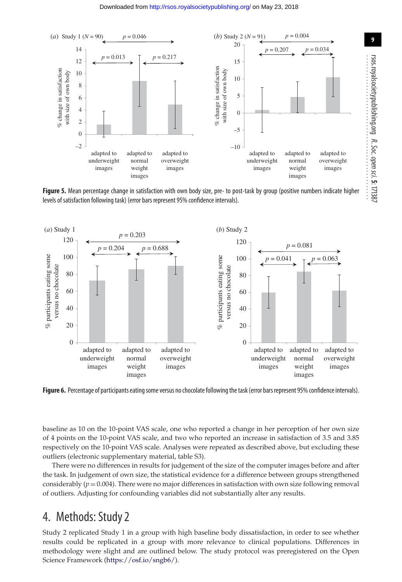<span id="page-8-0"></span>

**Figure 5.** Mean percentage change in satisfaction with own body size, pre- to post-task by group (positive numbers indicate higher levels of satisfaction following task) (error bars represent 95% confidence intervals).

<span id="page-8-1"></span>

**Figure 6.** Percentage of participants eating some versus no chocolate following the task (error bars represent 95% confidence intervals).

baseline as 10 on the 10-point VAS scale, one who reported a change in her perception of her own size of 4 points on the 10-point VAS scale, and two who reported an increase in satisfaction of 3.5 and 3.85 respectively on the 10-point VAS scale. Analyses were repeated as described above, but excluding these outliers (electronic supplementary material, table S3).

There were no differences in results for judgement of the size of the computer images before and after the task. In judgement of own size, the statistical evidence for a difference between groups strengthened considerably (*p* = 0.004). There were no major differences in satisfaction with own size following removal of outliers. Adjusting for confounding variables did not substantially alter any results.

# 4. Methods: Study 2

Study 2 replicated Study 1 in a group with high baseline body dissatisfaction, in order to see whether results could be replicated in a group with more relevance to clinical populations. Differences in methodology were slight and are outlined below. The study protocol was preregistered on the Open Science Framework [\(https://osf.io/sngb6/\)](https://osf.io/sngb6/).

**9**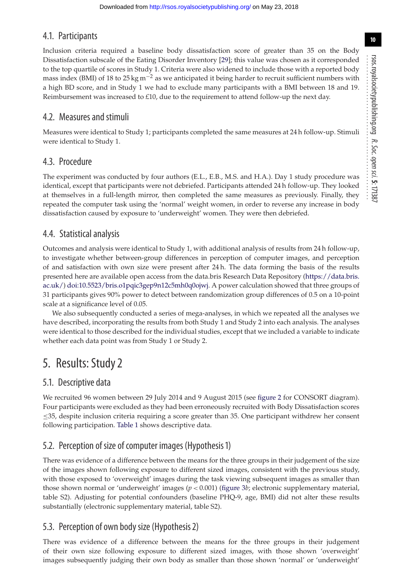#### 4.1. Participants

Inclusion criteria required a baseline body dissatisfaction score of greater than 35 on the Body Dissatisfaction subscale of the Eating Disorder Inventory [\[29\]](#page-13-22); this value was chosen as it corresponded to the top quartile of scores in Study 1. Criteria were also widened to include those with a reported body mass index (BMI) of 18 to 25 kg m<sup>-2</sup> as we anticipated it being harder to recruit sufficient numbers with a high BD score, and in Study 1 we had to exclude many participants with a BMI between 18 and 19. Reimbursement was increased to  $£10$ , due to the requirement to attend follow-up the next day.

### 4.2. Measures and stimuli

Measures were identical to Study 1; participants completed the same measures at 24 h follow-up. Stimuli were identical to Study 1.

#### 4.3. Procedure

The experiment was conducted by four authors (E.L., E.B., M.S. and H.A.). Day 1 study procedure was identical, except that participants were not debriefed. Participants attended 24 h follow-up. They looked at themselves in a full-length mirror, then completed the same measures as previously. Finally, they repeated the computer task using the 'normal' weight women, in order to reverse any increase in body dissatisfaction caused by exposure to 'underweight' women. They were then debriefed.

### 4.4. Statistical analysis

Outcomes and analysis were identical to Study 1, with additional analysis of results from 24 h follow-up, to investigate whether between-group differences in perception of computer images, and perception of and satisfaction with own size were present after 24 h. The data forming the basis of the results presented here are available open access from the data.bris Research Data Repository [\(https://data.bris.](https://data.bris.ac.uk/) [ac.uk/\)](https://data.bris.ac.uk/) [doi:10.5523/bris.o1pqic3gep9n12c5mh0q0ojwj.](http://dx.doi.org/doi:10.5523/bris.o1pqic3gep9n12c5mh0q0ojwj) A power calculation showed that three groups of 31 participants gives 90% power to detect between randomization group differences of 0.5 on a 10-point scale at a significance level of 0.05.

We also subsequently conducted a series of mega-analyses, in which we repeated all the analyses we have described, incorporating the results from both Study 1 and Study 2 into each analysis. The analyses were identical to those described for the individual studies, except that we included a variable to indicate whether each data point was from Study 1 or Study 2.

# 5. Results: Study 2

### 5.1. Descriptive data

We recruited 96 women between 29 July 2014 and 9 August 2015 (see [figure 2](#page-5-0) for CONSORT diagram). Four participants were excluded as they had been erroneously recruited with Body Dissatisfaction scores ≤35, despite inclusion criteria requiring a score greater than 35. One participant withdrew her consent following participation. [Table 1](#page-6-0) shows descriptive data.

# 5.2. Perception of size of computer images (Hypothesis 1)

There was evidence of a difference between the means for the three groups in their judgement of the size of the images shown following exposure to different sized images, consistent with the previous study, with those exposed to 'overweight' images during the task viewing subsequent images as smaller than those shown normal or 'underweight' images (*p <* 0.001) [\(figure 3](#page-7-0)*b*; electronic supplementary material, table S2). Adjusting for potential confounders (baseline PHQ-9, age, BMI) did not alter these results substantially (electronic supplementary material, table S2).

### 5.3. Perception of own body size (Hypothesis 2)

There was evidence of a difference between the means for the three groups in their judgement of their own size following exposure to different sized images, with those shown 'overweight' images subsequently judging their own body as smaller than those shown 'normal' or 'underweight'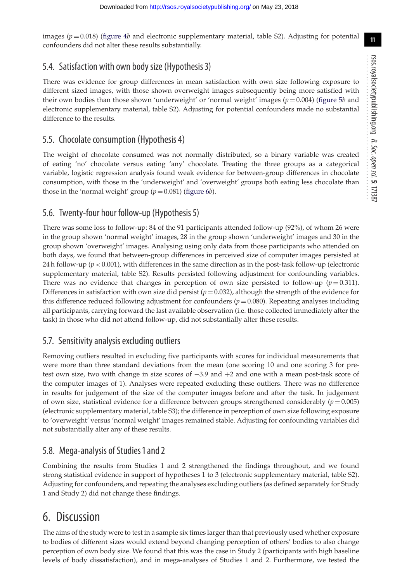**11**

images (*p* = 0.018) [\(figure 4](#page-7-1)*b* and electronic supplementary material, table S2). Adjusting for potential confounders did not alter these results substantially.

# 5.4. Satisfaction with own body size (Hypothesis 3)

There was evidence for group differences in mean satisfaction with own size following exposure to different sized images, with those shown overweight images subsequently being more satisfied with their own bodies than those shown 'underweight' or 'normal weight' images (*p* = 0.004) [\(figure 5](#page-8-0)*b* and electronic supplementary material, table S2). Adjusting for potential confounders made no substantial difference to the results.

### 5.5. Chocolate consumption (Hypothesis 4)

The weight of chocolate consumed was not normally distributed, so a binary variable was created of eating 'no' chocolate versus eating 'any' chocolate. Treating the three groups as a categorical variable, logistic regression analysis found weak evidence for between-group differences in chocolate consumption, with those in the 'underweight' and 'overweight' groups both eating less chocolate than those in the 'normal weight' group  $(p = 0.081)$  [\(figure 6](#page-8-1)*b*).

### 5.6. Twenty-four hour follow-up (Hypothesis 5)

There was some loss to follow-up: 84 of the 91 participants attended follow-up (92%), of whom 26 were in the group shown 'normal weight' images, 28 in the group shown 'underweight' images and 30 in the group shown 'overweight' images. Analysing using only data from those participants who attended on both days, we found that between-group differences in perceived size of computer images persisted at 24 h follow-up ( $p < 0.001$ ), with differences in the same direction as in the post-task follow-up (electronic supplementary material, table S2). Results persisted following adjustment for confounding variables. There was no evidence that changes in perception of own size persisted to follow-up  $(p=0.311)$ . Differences in satisfaction with own size did persist  $(p=0.032)$ , although the strength of the evidence for this difference reduced following adjustment for confounders ( $p = 0.080$ ). Repeating analyses including all participants, carrying forward the last available observation (i.e. those collected immediately after the task) in those who did not attend follow-up, did not substantially alter these results.

### 5.7. Sensitivity analysis excluding outliers

Removing outliers resulted in excluding five participants with scores for individual measurements that were more than three standard deviations from the mean (one scoring 10 and one scoring 3 for pretest own size, two with change in size scores of −3.9 and +2 and one with a mean post-task score of the computer images of 1). Analyses were repeated excluding these outliers. There was no difference in results for judgement of the size of the computer images before and after the task. In judgement of own size, statistical evidence for a difference between groups strengthened considerably  $(p = 0.005)$ (electronic supplementary material, table S3); the difference in perception of own size following exposure to 'overweight' versus 'normal weight' images remained stable. Adjusting for confounding variables did not substantially alter any of these results.

# 5.8. Mega-analysis of Studies 1 and 2

Combining the results from Studies 1 and 2 strengthened the findings throughout, and we found strong statistical evidence in support of hypotheses 1 to 3 (electronic supplementary material, table S2). Adjusting for confounders, and repeating the analyses excluding outliers (as defined separately for Study 1 and Study 2) did not change these findings.

# 6. Discussion

The aims of the study were to test in a sample six times larger than that previously used whether exposure to bodies of different sizes would extend beyond changing perception of others' bodies to also change perception of own body size. We found that this was the case in Study 2 (participants with high baseline levels of body dissatisfaction), and in mega-analyses of Studies 1 and 2. Furthermore, we tested the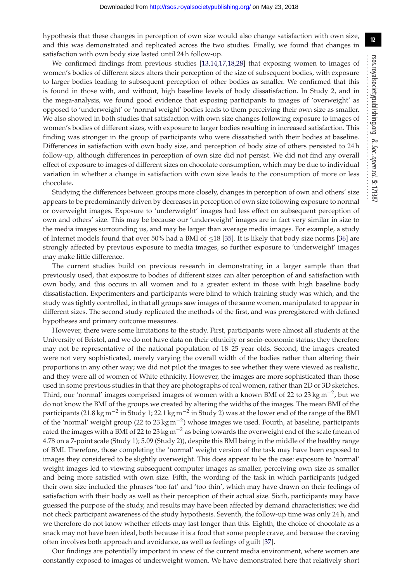**12**

hypothesis that these changes in perception of own size would also change satisfaction with own size, and this was demonstrated and replicated across the two studies. Finally, we found that changes in satisfaction with own body size lasted until 24 h follow-up.

We confirmed findings from previous studies [\[13](#page-13-6)[,14](#page-13-7)[,17](#page-13-10)[,18,](#page-13-11)[28\]](#page-13-21) that exposing women to images of women's bodies of different sizes alters their perception of the size of subsequent bodies, with exposure to larger bodies leading to subsequent perception of other bodies as smaller. We confirmed that this is found in those with, and without, high baseline levels of body dissatisfaction. In Study 2, and in the mega-analysis, we found good evidence that exposing participants to images of 'overweight' as opposed to 'underweight' or 'normal weight' bodies leads to them perceiving their own size as smaller. We also showed in both studies that satisfaction with own size changes following exposure to images of women's bodies of different sizes, with exposure to larger bodies resulting in increased satisfaction. This finding was stronger in the group of participants who were dissatisfied with their bodies at baseline. Differences in satisfaction with own body size, and perception of body size of others persisted to 24 h follow-up, although differences in perception of own size did not persist. We did not find any overall effect of exposure to images of different sizes on chocolate consumption, which may be due to individual variation in whether a change in satisfaction with own size leads to the consumption of more or less chocolate.

Studying the differences between groups more closely, changes in perception of own and others' size appears to be predominantly driven by decreases in perception of own size following exposure to normal or overweight images. Exposure to 'underweight' images had less effect on subsequent perception of own and others' size. This may be because our 'underweight' images are in fact very similar in size to the media images surrounding us, and may be larger than average media images. For example, a study of Internet models found that over 50% had a BMI of ≤18 [\[35\]](#page-13-28). It is likely that body size norms [\[36\]](#page-13-29) are strongly affected by previous exposure to media images, so further exposure to 'underweight' images may make little difference.

The current studies build on previous research in demonstrating in a larger sample than that previously used, that exposure to bodies of different sizes can alter perception of and satisfaction with own body, and this occurs in all women and to a greater extent in those with high baseline body dissatisfaction. Experimenters and participants were blind to which training study was which, and the study was tightly controlled, in that all groups saw images of the same women, manipulated to appear in different sizes. The second study replicated the methods of the first, and was preregistered with defined hypotheses and primary outcome measures.

However, there were some limitations to the study. First, participants were almost all students at the University of Bristol, and we do not have data on their ethnicity or socio-economic status; they therefore may not be representative of the national population of 18–25 year olds. Second, the images created were not very sophisticated, merely varying the overall width of the bodies rather than altering their proportions in any other way; we did not pilot the images to see whether they were viewed as realistic, and they were all of women of White ethnicity. However, the images are more sophisticated than those used in some previous studies in that they are photographs of real women, rather than 2D or 3D sketches. Third, our 'normal' images comprised images of women with a known BMI of 22 to 23 kg m<sup>-2</sup>, but we do not know the BMI of the groups we created by altering the widths of the images. The mean BMI of the participants (21.8 kg m−<sup>2</sup> in Study 1; 22.1 kg m−<sup>2</sup> in Study 2) was at the lower end of the range of the BMI of the 'normal' weight group (22 to 23 kg m−2) whose images we used. Fourth, at baseline, participants rated the images with a BMI of 22 to 23 kg m<sup>-2</sup> as being towards the overweight end of the scale (mean of 4.78 on a 7-point scale (Study 1); 5.09 (Study 2)), despite this BMI being in the middle of the healthy range of BMI. Therefore, those completing the 'normal' weight version of the task may have been exposed to images they considered to be slightly overweight. This does appear to be the case: exposure to 'normal' weight images led to viewing subsequent computer images as smaller, perceiving own size as smaller and being more satisfied with own size. Fifth, the wording of the task in which participants judged their own size included the phrases 'too fat' and 'too thin', which may have drawn on their feelings of satisfaction with their body as well as their perception of their actual size. Sixth, participants may have guessed the purpose of the study, and results may have been affected by demand characteristics; we did not check participant awareness of the study hypothesis. Seventh, the follow-up time was only 24 h, and we therefore do not know whether effects may last longer than this. Eighth, the choice of chocolate as a snack may not have been ideal, both because it is a food that some people crave, and because the craving often involves both approach and avoidance, as well as feelings of guilt [\[37\]](#page-13-30).

Our findings are potentially important in view of the current media environment, where women are constantly exposed to images of underweight women. We have demonstrated here that relatively short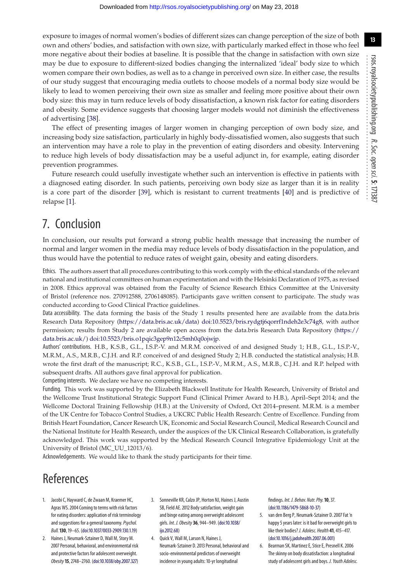exposure to images of normal women's bodies of different sizes can change perception of the size of both own and others' bodies, and satisfaction with own size, with particularly marked effect in those who feel more negative about their bodies at baseline. It is possible that the change in satisfaction with own size may be due to exposure to different-sized bodies changing the internalized 'ideal' body size to which women compare their own bodies, as well as to a change in perceived own size. In either case, the results of our study suggest that encouraging media outlets to choose models of a normal body size would be likely to lead to women perceiving their own size as smaller and feeling more positive about their own body size: this may in turn reduce levels of body dissatisfaction, a known risk factor for eating disorders and obesity. Some evidence suggests that choosing larger models would not diminish the effectiveness of advertising [\[38\]](#page-13-31).

The effect of presenting images of larger women in changing perception of own body size, and increasing body size satisfaction, particularly in highly body-dissatisfied women, also suggests that such an intervention may have a role to play in the prevention of eating disorders and obesity. Intervening to reduce high levels of body dissatisfaction may be a useful adjunct in, for example, eating disorder prevention programmes.

Future research could usefully investigate whether such an intervention is effective in patients with a diagnosed eating disorder. In such patients, perceiving own body size as larger than it is in reality is a core part of the disorder [\[39\]](#page-13-32), which is resistant to current treatments [\[40\]](#page-13-33) and is predictive of relapse [\[1\]](#page-12-0).

# 7. Conclusion

In conclusion, our results put forward a strong public health message that increasing the number of normal and larger women in the media may reduce levels of body dissatisfaction in the population, and thus would have the potential to reduce rates of weight gain, obesity and eating disorders.

Ethics. The authors assert that all procedures contributing to this work comply with the ethical standards of the relevant national and institutional committees on human experimentation and with the Helsinki Declaration of 1975, as revised in 2008. Ethics approval was obtained from the Faculty of Science Research Ethics Committee at the University of Bristol (reference nos. 270912588, 2706148085). Participants gave written consent to participate. The study was conducted according to Good Clinical Practice guidelines.

Data accessibility. The data forming the basis of the Study 1 results presented here are available from the data.bris Research Data Repository [\(https://data.bris.ac.uk/data\)](https://data.bris.ac.uk/data) [doi:10.5523/bris.rydgtj6qorrf1ndeh2e3c74g8,](http://dx.doi.org/doi:10.5523/bris.rydgtj6qorrf1ndeh2e3c74g8) with author permission; results from Study 2 are available open access from the data.bris Research Data Repository [\(https://](https://data.bris.ac.uk/) [data.bris.ac.uk/\)](https://data.bris.ac.uk/) [doi:10.5523/bris.o1pqic3gep9n12c5mh0q0ojwjp.](http://dx.doi.org/doi:10.5523/bris.o1pqic3gep9n12c5mh0q0ojwjp)

Authors' contributions. H.B., K.S.B., G.L., I.S.P.-V. and M.R.M. conceived of and designed Study 1; H.B., G.L., I.S.P.-V., M.R.M., A.S., M.R.B., C.J.H. and R.P. conceived of and designed Study 2; H.B. conducted the statistical analysis; H.B. wrote the first draft of the manuscript; R.C., K.S.B., G.L., I.S.P.-V., M.R.M., A.S., M.R.B., C.J.H. and R.P. helped with subsequent drafts. All authors gave final approval for publication.

Competing interests. We declare we have no competing interests.

Funding. This work was supported by the Elizabeth Blackwell Institute for Health Research, University of Bristol and the Wellcome Trust Institutional Strategic Support Fund (Clinical Primer Award to H.B.), April–Sept 2014; and the Wellcome Doctoral Training Fellowship (H.B.) at the University of Oxford, Oct 2014–present. M.R.M. is a member of the UK Centre for Tobacco Control Studies, a UKCRC Public Health Research: Centre of Excellence. Funding from British Heart Foundation, Cancer Research UK, Economic and Social Research Council, Medical Research Council and the National Institute for Health Research, under the auspices of the UK Clinical Research Collaboration, is gratefully acknowledged. This work was supported by the Medical Research Council Integrative Epidemiology Unit at the University of Bristol (MC\_UU\_12013/6).

Acknowledgements. We would like to thank the study participants for their time.

# References

- <span id="page-12-0"></span>1. Jacobi C, Hayward C, de Zwaan M, Kraemer HC, Agras WS. 2004 Coming to terms with risk factors for eating disorders: application of risk terminology and suggestions for a general taxonomy. Psychol. Bull.**130**, 19–65. [\(doi:10.1037/0033-2909.130.1.19\)](http://dx.doi.org/10.1037/0033-2909.130.1.19)
- <span id="page-12-1"></span>2. Haines J, Neumark-Sztainer D, Wall M, Story M. 2007 Personal, behavioral, and environmental risk and protective factors for adolescent overweight. Obesity **15**, 2748–2760. [\(doi:10.1038/oby.2007.327\)](http://dx.doi.org/10.1038/oby.2007.327)
- 3. Sonneville KR, Calzo JP, Horton NJ, Haines J, Austin SB, Field AE. 2012 Body satisfaction, weight gain and binge eating among overweight adolescent girls. Int. J. Obesity **36**, 944–949. [\(doi:10.1038/](http://dx.doi.org/10.1038/ijo.2012.68) [ijo.2012.68\)](http://dx.doi.org/10.1038/ijo.2012.68)
- 4. Quick V, Wall M, Larson N, Haines J, Neumark-Sztainer D. 2013 Personal, behavioral and socio-environmental predictors of overweight incidence in young adults: 10-yr longitudinal

findings. Int. J. Behav. Nutr. Phy.**10**, 37. [\(doi:10.1186/1479-5868-10-37\)](http://dx.doi.org/10.1186/1479-5868-10-37)

- <span id="page-12-2"></span>5. van den Berg P, Neumark-Sztainer D. 2007 Fat 'n happy 5 years later: is it bad for overweight girls to like their bodies? J. Adolesc. Health **41**, 415–417. [\(doi:10.1016/j.jadohealth.2007.06.001\)](http://dx.doi.org/10.1016/j.jadohealth.2007.06.001)
- <span id="page-12-3"></span>6. Bearman SK, Martinez E, Stice E, Presnell K. 2006 The skinny on body dissatisfaction: a longitudinal study of adolescent girls and boys. J. Youth Adolesc.